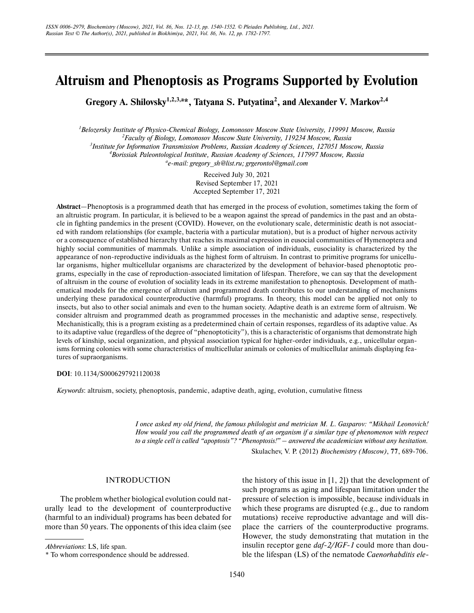# **Altruism and Phenoptosis as Programs Supported by Evolution**

Gregory A. Shilovsky<sup>1,2,3,a\*</sup>, Tatyana S. Putyatina<sup>2</sup>, and Alexander V. Markov<sup>2,4</sup>

 *Belozersky Institute of Physico-Chemical Biology, Lomonosov Moscow State University, 119991 Moscow, Russia Faculty of Biology, Lomonosov Moscow State University, 119234 Moscow, Russia Institute for Information Transmission Problems, Russian Academy of Sciences, 127051 Moscow, Russia Borissiak Paleontological Institute, Russian Academy of Sciences, 117997 Moscow, Russia a e-mail: gregory\_sh@list.ru; grgerontol@gmail.com*

> Received July 30, 2021 Revised September 17, 2021 Accepted September 17, 2021

**Abstract**—Phenoptosis is a programmed death that has emerged in the process of evolution, sometimes taking the form of an altruistic program. In particular, it is believed to be a weapon against the spread of pandemics in the past and an obsta cle in fighting pandemics in the present (COVID). However, on the evolutionary scale, deterministic death is not associat ed with random relationships (for example, bacteria with a particular mutation), but is a product of higher nervous activity or a consequence of established hierarchy that reaches its maximal expression in eusocial communities of Hymenoptera and highly social communities of mammals. Unlike a simple association of individuals, eusociality is characterized by the appearance of non-reproductive individuals as the highest form of altruism. In contrast to primitive programs for unicellu lar organisms, higher multicellular organisms are characterized by the development of behavior-based phenoptotic pro grams, especially in the case of reproduction-associated limitation of lifespan. Therefore, we can say that the development of altruism in the course of evolution of sociality leads in its extreme manifestation to phenoptosis. Development of math ematical models for the emergence of altruism and programmed death contributes to our understanding of mechanisms underlying these paradoxical counterproductive (harmful) programs. In theory, this model can be applied not only to insects, but also to other social animals and even to the human society. Adaptive death is an extreme form of altruism. We consider altruism and programmed death as programmed processes in the mechanistic and adaptive sense, respectively. Mechanistically, this is a program existing as a predetermined chain of certain responses, regardless of its adaptive value. As to its adaptive value (regardless of the degree of "phenoptoticity"), this is a characteristic of organisms that demonstrate high levels of kinship, social organization, and physical association typical for higher-order individuals, e.g., unicellular organ isms forming colonies with some characteristics of multicellular animals or colonies of multicellular animals displaying fea tures of supraorganisms.

**DOI**: 10.1134/S0006297921120038

*Keywords*: altruism, society, phenoptosis, pandemic, adaptive death, aging, evolution, cumulative fitness

*I once asked my old friend, the famous philologist and metrician M. L. Gasparov: "Mikhail Leonovich! How would you call the programmed death of an organism if a similar type of phenomenon with respect to a single cell is called "apoptosis"? "Phenoptosis!" – answered the academician without any hesitation.*

Skulachev, V. P. (2012) *Biochemistry (Moscow)*, **77**, 689-706.

### INTRODUCTION

The problem whether biological evolution could nat urally lead to the development of counterproductive (harmful to an individual) programs has been debated for more than 50 years. The opponents of this idea claim (see the history of this issue in  $[1, 2]$  that the development of such programs as aging and lifespan limitation under the pressure of selection is impossible, because individuals in which these programs are disrupted (e.g., due to random mutations) receive reproductive advantage and will dis place the carriers of the counterproductive programs. However, the study demonstrating that mutation in the insulin receptor gene *daf-2/IGF-1* could more than dou ble the lifespan (LS) of the nematode *Caenorhabditis ele-*

*Abbreviations*: LS, life span.

<sup>\*</sup> To whom correspondence should be addressed.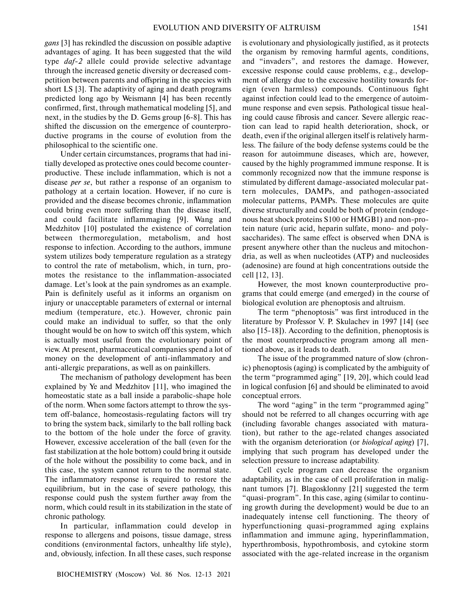*gans* [3] has rekindled the discussion on possible adaptive advantages of aging. It has been suggested that the wild type *daf-2* allele could provide selective advantage through the increased genetic diversity or decreased com petition between parents and offspring in the species with short LS [3]. The adaptivity of aging and death programs predicted long ago by Weismann [4] has been recently confirmed, first, through mathematical modeling [5], and next, in the studies by the D. Gems group [6-8]. This has shifted the discussion on the emergence of counterpro ductive programs in the course of evolution from the philosophical to the scientific one.

Under certain circumstances, programs that had ini tially developed as protective ones could become counter productive. These include inflammation, which is not a disease *per se*, but rather a response of an organism to pathology at a certain location. However, if no cure is provided and the disease becomes chronic, inflammation could bring even more suffering than the disease itself, and could facilitate inflammaging [9]. Wang and Medzhitov [10] postulated the existence of correlation between thermoregulation, metabolism, and host response to infection. According to the authors, immune system utilizes body temperature regulation as a strategy to control the rate of metabolism, which, in turn, pro motes the resistance to the inflammation-associated damage. Let's look at the pain syndromes as an example. Pain is definitely useful as it informs an organism on injury or unacceptable parameters of external or internal medium (temperature, etc.). However, chronic pain could make an individual to suffer, so that the only thought would be on how to switch off this system, which is actually most useful from the evolutionary point of view. At present, pharmaceutical companies spend a lot of money on the development of anti-inflammatory and anti-allergic preparations, as well as on painkillers.

The mechanism of pathology development has been explained by Ye and Medzhitov [11], who imagined the homeostatic state as a ball inside a parabolic-shape hole of the norm. When some factors attempt to throw the sys tem off-balance, homeostasis-regulating factors will try to bring the system back, similarly to the ball rolling back to the bottom of the hole under the force of gravity. However, excessive acceleration of the ball (even for the fast stabilization at the hole bottom) could bring it outside of the hole without the possibility to come back, and in this case, the system cannot return to the normal state. The inflammatory response is required to restore the equilibrium, but in the case of severe pathology, this response could push the system further away from the norm, which could result in its stabilization in the state of chronic pathology.

In particular, inflammation could develop in response to allergens and poisons, tissue damage, stress conditions (environmental factors, unhealthy life style), and, obviously, infection. In all these cases, such response

is evolutionary and physiologically justified, as it protects the organism by removing harmful agents, conditions, and "invaders", and restores the damage. However, excessive response could cause problems, e.g., develop ment of allergy due to the excessive hostility towards for eign (even harmless) compounds. Continuous fight against infection could lead to the emergence of autoim mune response and even sepsis. Pathological tissue heal ing could cause fibrosis and cancer. Severe allergic reac tion can lead to rapid health deterioration, shock, or death, even if the original allergen itself is relatively harm less. The failure of the body defense systems could be the reason for autoimmune diseases, which are, however, caused by the highly programmed immune response. It is commonly recognized now that the immune response is stimulated by different damage-associated molecular pat tern molecules, DAMPs, and pathogen-associated molecular patterns, PAMPs. These molecules are quite diverse structurally and could be both of protein (endoge nous heat shock proteins S100 or HMGB1) and non-pro tein nature (uric acid, heparin sulfate, mono- and poly saccharides). The same effect is observed when DNA is present anywhere other than the nucleus and mitochon dria, as well as when nucleotides (ATP) and nucleosides (adenosine) are found at high concentrations outside the cell [12, 13].

However, the most known counterproductive pro grams that could emerge (and emerged) in the course of biological evolution are phenoptosis and altruism.

The term "phenoptosis" was first introduced in the literature by Professor V. P. Skulachev in 1997 [14] (see also [15-18]). According to the definition, phenoptosis is the most counterproductive program among all men tioned above, as it leads to death.

The issue of the programmed nature of slow (chron ic) phenoptosis (aging) is complicated by the ambiguity of the term "programmed aging" [19, 20], which could lead in logical confusion [6] and should be eliminated to avoid conceptual errors.

The word "aging" in the term "programmed aging" should not be referred to all changes occurring with age (including favorable changes associated with matura tion), but rather to the age-related changes associated with the organism deterioration (or *biological aging*) [7], implying that such program has developed under the selection pressure to increase adaptability.

Cell cycle program can decrease the organism adaptability, as in the case of cell proliferation in malig nant tumors [7]. Blagosklonny [21] suggested the term "quasi-program". In this case, aging (similar to continu ing growth during the development) would be due to an inadequately intense cell functioning. The theory of hyperfunctioning quasi-programmed aging explains inflammation and immune aging, hyperinflammation, hyperthrombosis, hypothrombosis, and cytokine storm associated with the age-related increase in the organism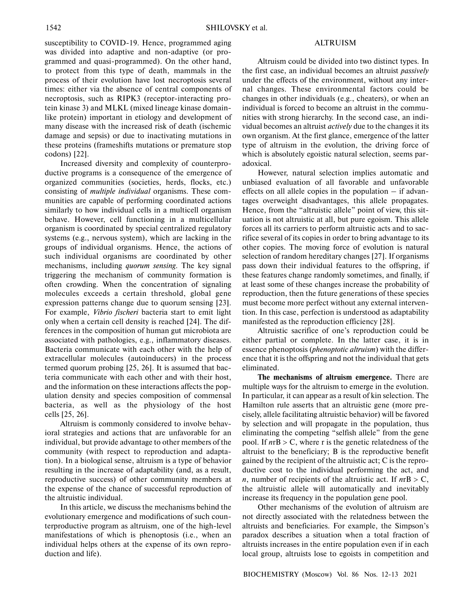susceptibility to COVID-19. Hence, programmed aging was divided into adaptive and non-adaptive (or pro grammed and quasi-programmed). On the other hand, to protect from this type of death, mammals in the process of their evolution have lost necroptosis several times: either via the absence of central components of necroptosis, such as RIPK3 (receptor-interacting pro tein kinase 3) and MLKL (mixed lineage kinase domain like protein) important in etiology and development of many disease with the increased risk of death (ischemic damage and sepsis) or due to inactivating mutations in these proteins (frameshifts mutations or premature stop codons) [22].

Increased diversity and complexity of counterpro ductive programs is a consequence of the emergence of organized communities (societies, herds, flocks, etc.) consisting of *multiple individual* organisms. These com munities are capable of performing coordinated actions similarly to how individual cells in a multicell organism behave. However, cell functioning in a multicellular organism is coordinated by special centralized regulatory systems (e.g., nervous system), which are lacking in the groups of individual organisms. Hence, the actions of such individual organisms are coordinated by other mechanisms, including *quorum sensing*. The key signal triggering the mechanism of community formation is often crowding. When the concentration of signaling molecules exceeds a certain threshold, global gene expression patterns change due to quorum sensing [23]. For example, *Vibrio fischeri* bacteria start to emit light only when a certain cell density is reached [24]. The dif ferences in the composition of human gut microbiota are associated with pathologies, e.g., inflammatory diseases. Bacteria communicate with each other with the help of extracellular molecules (autoinducers) in the process termed quorum probing [25, 26]. It is assumed that bac teria communicate with each other and with their host, and the information on these interactions affects the pop ulation density and species composition of commensal bacteria, as well as the physiology of the host cells [25, 26].

Altruism is commonly considered to involve behav ioral strategies and actions that are unfavorable for an individual, but provide advantage to other members of the community (with respect to reproduction and adapta tion). In a biological sense, altruism is a type of behavior resulting in the increase of adaptability (and, as a result, reproductive success) of other community members at the expense of the chance of successful reproduction of the altruistic individual.

In this article, we discuss the mechanisms behind the evolutionary emergence and modifications of such coun terproductive program as altruism, one of the high-level manifestations of which is phenoptosis (i.e., when an individual helps others at the expense of its own repro duction and life).

## ALTRUISM

Altruism could be divided into two distinct types. In the first case, an individual becomes an altruist *passively* under the effects of the environment, without any inter nal changes. These environmental factors could be changes in other individuals (e.g., cheaters), or when an individual is forced to become an altruist in the commu nities with strong hierarchy. In the second case, an indi vidual becomes an altruist *actively* due to the changes it its own organism. At the first glance, emergence of the latter type of altruism in the evolution, the driving force of which is absolutely egoistic natural selection, seems par adoxical.

However, natural selection implies automatic and unbiased evaluation of all favorable and unfavorable effects on all allele copies in the population – if advan tages overweight disadvantages, this allele propagates. Hence, from the "altruistic allele" point of view, this sit uation is not altruistic at all, but pure egoism. This allele forces all its carriers to perform altruistic acts and to sac rifice several of its copies in order to bring advantage to its other copies. The moving force of evolution is natural selection of random hereditary changes [27]. If organisms pass down their individual features to the offspring, if these features change randomly sometimes, and finally, if at least some of these changes increase the probability of reproduction, then the future generations of these species must become more perfect without any external interven tion. In this case, perfection is understood as adaptability manifested as the reproduction efficiency [28].

Altruistic sacrifice of one's reproduction could be either partial or complete. In the latter case, it is in essence phenoptosis (*phenoptotic altruism*) with the differ ence that it is the offspring and not the individual that gets eliminated.

**The mechanisms of altruism emergence.** There are multiple ways for the altruism to emerge in the evolution. In particular, it can appear as a result of kin selection. The Hamilton rule asserts that an altruistic gene (more pre cisely, allele facilitating altruistic behavior) will be favored by selection and will propagate in the population, thus eliminating the competing "selfish allele" from the gene pool. If *n*rB > C, where r is the genetic relatedness of the altruist to the beneficiary; B is the reproductive benefit gained by the recipient of the altruistic act; C is the repro ductive cost to the individual performing the act, and *n*, number of recipients of the altruistic act. If  $n \text{rB} > \text{C}$ , the altruistic allele will automatically and inevitably increase its frequency in the population gene pool.

Other mechanisms of the evolution of altruism are not directly associated with the relatedness between the altruists and beneficiaries. For example, the Simpson's paradox describes a situation when a total fraction of altruists increases in the entire population even if in each local group, altruists lose to egoists in competition and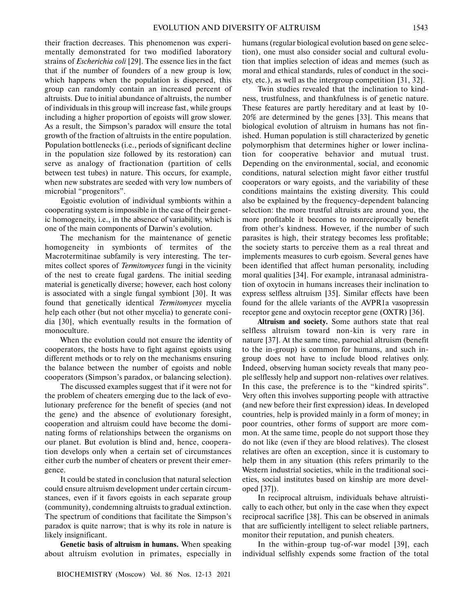their fraction decreases. This phenomenon was experi mentally demonstrated for two modified laboratory strains of *Escherichia coli* [29]. The essence lies in the fact that if the number of founders of a new group is low, which happens when the population is dispersed, this group can randomly contain an increased percent of altruists. Due to initial abundance of altruists, the number of individuals in this group will increase fast, while groups including a higher proportion of egoists will grow slower. As a result, the Simpson's paradox will ensure the total growth of the fraction of altruists in the entire population. Population bottlenecks (i.e., periods of significant decline in the population size followed by its restoration) can serve as analogy of fractionation (partition of cells between test tubes) in nature. This occurs, for example, when new substrates are seeded with very low numbers of microbial "progenitors".

Egoistic evolution of individual symbionts within a cooperating system is impossible in the case of their genet ic homogeneity, i.e., in the absence of variability, which is one of the main components of Darwin's evolution.

The mechanism for the maintenance of genetic homogeneity in symbionts of termites of the Macrotermitinae subfamily is very interesting. The ter mites collect spores of *Termitomyces* fungi in the vicinity of the nest to create fugal gardens. The initial seeding material is genetically diverse; however, each host colony is associated with a single fungal symbiont [30]. It was found that genetically identical *Termitomyces* mycelia help each other (but not other mycelia) to generate coni dia [30], which eventually results in the formation of monoculture.

When the evolution could not ensure the identity of cooperators, the hosts have to fight against egoists using different methods or to rely on the mechanisms ensuring the balance between the number of egoists and noble cooperators (Simpson's paradox, or balancing selection).

The discussed examples suggest that if it were not for the problem of cheaters emerging due to the lack of evo lutionary preference for the benefit of species (and not the gene) and the absence of evolutionary foresight, cooperation and altruism could have become the domi nating forms of relationships between the organisms on our planet. But evolution is blind and, hence, coopera tion develops only when a certain set of circumstances either curb the number of cheaters or prevent their emer gence.

It could be stated in conclusion that natural selection could ensure altruism development under certain circum stances, even if it favors egoists in each separate group (community), condemning altruists to gradual extinction. The spectrum of conditions that facilitate the Simpson's paradox is quite narrow; that is why its role in nature is likely insignificant.

**Genetic basis of altruism in humans.** When speaking about altruism evolution in primates, especially in

humans (regular biological evolution based on gene selec tion), one must also consider social and cultural evolu tion that implies selection of ideas and memes (such as moral and ethical standards, rules of conduct in the soci ety, etc.), as well as the intergroup competition [31, 32].

Twin studies revealed that the inclination to kind ness, trustfulness, and thankfulness is of genetic nature. These features are partly hereditary and at least by 10- 20% are determined by the genes [33]. This means that biological evolution of altruism in humans has not fin ished. Human population is still characterized by genetic polymorphism that determines higher or lower inclina tion for cooperative behavior and mutual trust. Depending on the environmental, social, and economic conditions, natural selection might favor either trustful cooperators or wary egoists, and the variability of these conditions maintains the existing diversity. This could also be explained by the frequency-dependent balancing selection: the more trustful altruists are around you, the more profitable it becomes to nonreciprocally benefit from other's kindness. However, if the number of such parasites is high, their strategy becomes less profitable; the society starts to perceive them as a real threat and implements measures to curb egoism. Several genes have been identified that affect human personality, including moral qualities [34]. For example, intranasal administra tion of oxytocin in humans increases their inclination to express selfless altruism [35]. Similar effects have been found for the allele variants of the AVPR1a vasopressin receptor gene and oxytocin receptor gene (OXTR) [36].

**Altruism and society.** Some authors state that real selfless altruism toward non-kin is very rare in nature [37]. At the same time, parochial altruism (benefit to the in-group) is common for humans, and such in group does not have to include blood relatives only. Indeed, observing human society reveals that many peo ple selflessly help and support non-relatives over relatives. In this case, the preference is to the "kindred spirits". Very often this involves supporting people with attractive (and new before their first expression) ideas. In developed countries, help is provided mainly in a form of money; in poor countries, other forms of support are more com mon. At the same time, people do not support those they do not like (even if they are blood relatives). The closest relatives are often an exception, since it is customary to help them in any situation (this refers primarily to the Western industrial societies, while in the traditional soci eties, social institutes based on kinship are more devel oped [37]).

In reciprocal altruism, individuals behave altruisti cally to each other, but only in the case when they expect reciprocal sacrifice [38]. This can be observed in animals that are sufficiently intelligent to select reliable partners, monitor their reputation, and punish cheaters.

In the within-group tug-of-war model [39], each individual selfishly expends some fraction of the total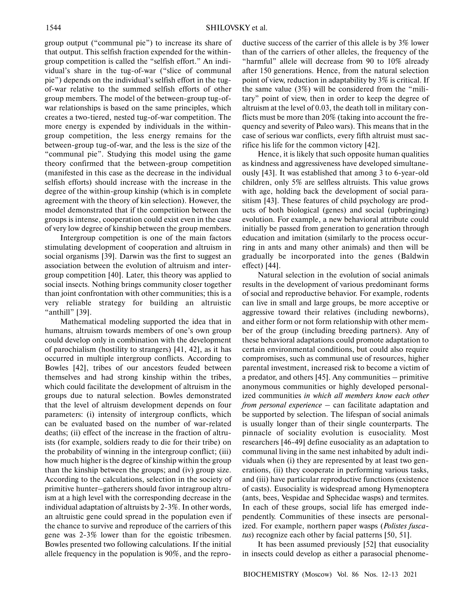group output ("communal pie") to increase its share of that output. This selfish fraction expended for the within group competition is called the "selfish effort." An indi vidual's share in the tug-of-war ("slice of communal pie") depends on the individual's selfish effort in the tug of-war relative to the summed selfish efforts of other group members. The model of the between-group tug-of war relationships is based on the same principles, which creates a two-tiered, nested tug-of-war competition. The more energy is expended by individuals in the within group competition, the less energy remains for the between-group tug-of-war, and the less is the size of the "communal pie". Studying this model using the game theory confirmed that the between-group competition (manifested in this case as the decrease in the individual selfish efforts) should increase with the increase in the degree of the within-group kinship (which is in complete agreement with the theory of kin selection). However, the model demonstrated that if the competition between the groups is intense, cooperation could exist even in the case of very low degree of kinship between the group members.

Intergroup competition is one of the main factors stimulating development of cooperation and altruism in social organisms [39]. Darwin was the first to suggest an association between the evolution of altruism and inter group competition [40]. Later, this theory was applied to social insects. Nothing brings community closer together than joint confrontation with other communities; this is a very reliable strategy for building an altruistic "anthill" [39].

Mathematical modeling supported the idea that in humans, altruism towards members of one's own group could develop only in combination with the development of parochialism (hostility to strangers) [41, 42], as it has occurred in multiple intergroup conflicts. According to Bowles [42], tribes of our ancestors feuded between themselves and had strong kinship within the tribes, which could facilitate the development of altruism in the groups due to natural selection. Bowles demonstrated that the level of altruism development depends on four parameters: (i) intensity of intergroup conflicts, which can be evaluated based on the number of war-related deaths; (ii) effect of the increase in the fraction of altru ists (for example, soldiers ready to die for their tribe) on the probability of winning in the intergroup conflict; (iii) how much higher is the degree of kinship within the group than the kinship between the groups; and (iv) group size. According to the calculations, selection in the society of primitive hunter–gatherers should favor intragroup altru ism at a high level with the corresponding decrease in the individual adaptation of altruists by 2-3%. In other words, an altruistic gene could spread in the population even if the chance to survive and reproduce of the carriers of this gene was 2-3% lower than for the egoistic tribesmen. Bowles presented two following calculations. If the initial allele frequency in the population is 90%, and the reproductive success of the carrier of this allele is by 3% lower than of the carriers of other alleles, the frequency of the "harmful" allele will decrease from 90 to 10% already after 150 generations. Hence, from the natural selection point of view, reduction in adaptability by 3% is critical. If the same value (3%) will be considered from the "mili tary" point of view, then in order to keep the degree of altruism at the level of 0.03, the death toll in military con flicts must be more than 20% (taking into account the fre quency and severity of Paleo wars). This means that in the case of serious war conflicts, every fifth altruist must sac rifice his life for the common victory [42].

Hence, it is likely that such opposite human qualities as kindness and aggressiveness have developed simultane ously [43]. It was established that among 3 to 6-year-old children, only 5% are selfless altruists. This value grows with age, holding back the development of social para sitism [43]. These features of child psychology are prod ucts of both biological (genes) and social (upbringing) evolution. For example, a new behavioral attribute could initially be passed from generation to generation through education and imitation (similarly to the process occur ring in ants and many other animals) and then will be gradually be incorporated into the genes (Baldwin effect) [44].

Natural selection in the evolution of social animals results in the development of various predominant forms of social and reproductive behavior. For example, rodents can live in small and large groups, be more acceptive or aggressive toward their relatives (including newborns), and either form or not form relationship with other mem ber of the group (including breeding partners). Any of these behavioral adaptations could promote adaptation to certain environmental conditions, but could also require compromises, such as communal use of resources, higher parental investment, increased risk to become a victim of a predator, and others [45]. Any communities – primitive anonymous communities or highly developed personal ized communities *in which all members know each other from personal experience* – can facilitate adaptation and be supported by selection. The lifespan of social animals is usually longer than of their single counterparts. The pinnacle of sociality evolution is eusociality. Most researchers [46-49] define eusociality as an adaptation to communal living in the same nest inhabited by adult indi viduals when (i) they are represented by at least two gen erations, (ii) they cooperate in performing various tasks, and (iii) have particular reproductive functions (existence of casts). Eusociality is widespread among Hymenoptera (ants, bees, Vespidae and Sphecidae wasps) and termites. In each of these groups, social life has emerged inde pendently. Communities of these insects are personal ized. For example, northern paper wasps (*Polistes fusca tus*) recognize each other by facial patterns [50, 51].

It has been assumed previously [52] that eusociality in insects could develop as either a parasocial phenome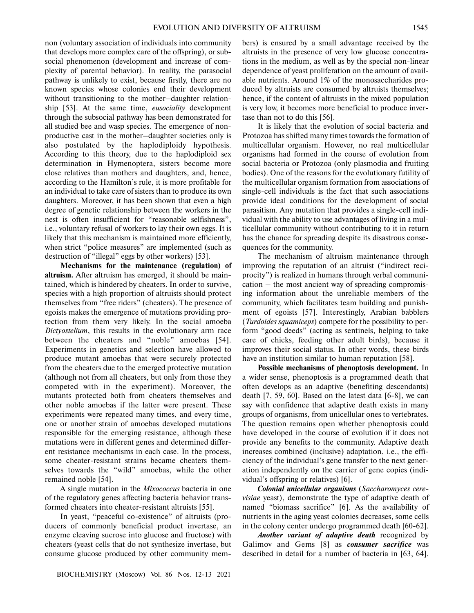non (voluntary association of individuals into community that develops more complex care of the offspring), or sub social phenomenon (development and increase of com plexity of parental behavior). In reality, the parasocial pathway is unlikely to exist, because firstly, there are no known species whose colonies end their development without transitioning to the mother–daughter relation ship [53]. At the same time, *eusociality* development through the subsocial pathway has been demonstrated for all studied bee and wasp species. The emergence of non productive cast in the mother–daughter societies only is also postulated by the haplodiploidy hypothesis. According to this theory, due to the haplodiploid sex determination in Hymenoptera, sisters become more close relatives than mothers and daughters, and, hence,

according to the Hamilton's rule, it is more profitable for an individual to take care of sisters than to produce its own daughters. Moreover, it has been shown that even a high degree of genetic relationship between the workers in the nest is often insufficient for "reasonable selfishness", i.e., voluntary refusal of workers to lay their own eggs. It is likely that this mechanism is maintained more efficiently, when strict "police measures" are implemented (such as destruction of "illegal" eggs by other workers) [53].

**Mechanisms for the maintenance (regulation) of altruism.** After altruism has emerged, it should be main tained, which is hindered by cheaters. In order to survive, species with a high proportion of altruists should protect themselves from "free riders" (cheaters). The presence of egoists makes the emergence of mutations providing pro tection from them very likely. In the social amoeba *Dictyostelium*, this results in the evolutionary arm race between the cheaters and "noble" amoebas [54]. Experiments in genetics and selection have allowed to produce mutant amoebas that were securely protected from the cheaters due to the emerged protective mutation (although not from all cheaters, but only from those they competed with in the experiment). Moreover, the mutants protected both from cheaters themselves and other noble amoebas if the latter were present. These experiments were repeated many times, and every time, one or another strain of amoebas developed mutations responsible for the emerging resistance, although these mutations were in different genes and determined differ ent resistance mechanisms in each case. In the process, some cheater-resistant strains became cheaters them selves towards the "wild" amoebas, while the other remained noble [54].

A single mutation in the *Mixococcus* bacteria in one of the regulatory genes affecting bacteria behavior trans formed cheaters into cheater-resistant altruists [55].

In yeast, "peaceful co-existence" of altruists (pro ducers of commonly beneficial product invertase, an enzyme cleaving sucrose into glucose and fructose) with cheaters (yeast cells that do not synthesize invertase, but consume glucose produced by other community members) is ensured by a small advantage received by the altruists in the presence of very low glucose concentra tions in the medium, as well as by the special non-linear dependence of yeast proliferation on the amount of avail able nutrients. Around 1% of the monosaccharides pro duced by altruists are consumed by altruists themselves; hence, if the content of altruists in the mixed population is very low, it becomes more beneficial to produce inver tase than not to do this [56].

It is likely that the evolution of social bacteria and Protozoa has shifted many times towards the formation of multicellular organism. However, no real multicellular organisms had formed in the course of evolution from social bacteria or Protozoa (only plasmodia and fruiting bodies). One of the reasons for the evolutionary futility of the multicellular organism formation from associations of single-cell individuals is the fact that such associations provide ideal conditions for the development of social parasitism. Any mutation that provides a single-cell indi vidual with the ability to use advantages of living in a mul ticellular community without contributing to it in return has the chance for spreading despite its disastrous conse quences for the community.

The mechanism of altruism maintenance through improving the reputation of an altruist ("indirect reci procity") is realized in humans through verbal communi cation – the most ancient way of spreading compromis ing information about the unreliable members of the community, which facilitates team building and punish ment of egoists [57]. Interestingly, Arabian babblers (*Turdoides squamiceps*) compete for the possibility to per form "good deeds" (acting as sentinels, helping to take care of chicks, feeding other adult birds), because it improves their social status. In other words, these birds have an institution similar to human reputation [58].

**Possible mechanisms of phenoptosis development.** In a wider sense, phenoptosis is a programmed death that often develops as an adaptive (benefiting descendants) death [7, 59, 60]. Based on the latest data [6-8], we can say with confidence that adaptive death exists in many groups of organisms, from unicellular ones to vertebrates. The question remains open whether phenoptosis could have developed in the course of evolution if it does not provide any benefits to the community. Adaptive death increases combined (inclusive) adaptation, i.e., the effi ciency of the individual's gene transfer to the next gener ation independently on the carrier of gene copies (indi vidual's offspring or relatives) [6].

*Colonial unicellular organisms* (*Saccharomyces cere visiae* yeast), demonstrate the type of adaptive death of named "biomass sacrifice" [6]. As the availability of nutrients in the aging yeast colonies decreases, some cells in the colony center undergo programmed death [60-62].

*Another variant of adaptive death* recognized by Galimov and Gems [8] as *consumer sacrifice* was described in detail for a number of bacteria in [63, 64].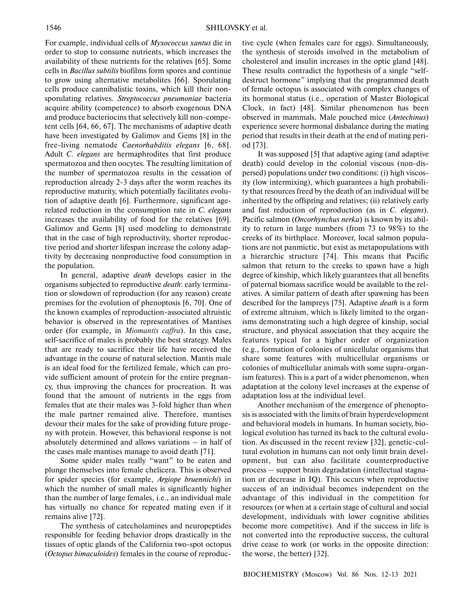For example, individual cells of *Myxococcus xantus* die in order to stop to consume nutrients, which increases the availability of these nutrients for the relatives [65]. Some cells in *Bacillus subtilis* biofilms form spores and continue to grow using alternative metabolites [66]. Sporulating cells produce cannibalistic toxins, which kill their non sporulating relatives. *Streptococcus pneumoniae* bacteria acquire ability (competence) to absorb exogenous DNA and produce bacteriocins that selectively kill non-compe tent cells [64, 66, 67]. The mechanisms of adaptive death have been investigated by Galimov and Gems [8] in the free-living nematode *Caenorhabditis elegans* [6, 68]. Adult *C. elegans* are hermaphrodites that first produce spermatozoa and then oocytes. The resulting limitation of the number of spermatozoa results in the cessation of reproduction already 2-3 days after the worm reaches its reproductive maturity, which potentially facilitates evolu tion of adaptive death [6]. Furthermore, significant age related reduction in the consumption rate in *C. elegans* increases the availability of food for the relatives [69]. Galimov and Gems [8] used modeling to demonstrate that in the case of high reproductivity, shorter reproduc tive period and shorter lifespan increase the colony adap tivity by decreasing nonproductive food consumption in the population.

In general, adaptive *death* develops easier in the organisms subjected to reproductive *death*: early termina tion or slowdown of reproduction (for any reason) create premises for the evolution of phenoptosis [6, 70]. One of the known examples of reproduction-associated altruistic behavior is observed in the representatives of Mantises order (for example, in *Miomantis caffra*). In this case, self-sacrifice of males is probably the best strategy. Males that are ready to sacrifice their life have received the advantage in the course of natural selection. Mantis male is an ideal food for the fertilized female, which can pro vide sufficient amount of protein for the entire pregnan cy, thus improving the chances for procreation. It was found that the amount of nutrients in the eggs from females that ate their males was 3-fold higher than when the male partner remained alive. Therefore, mantises devour their males for the sake of providing future proge ny with protein. However, this behavioral response is not absolutely determined and allows variations – in half of the cases male mantises manage to avoid death [71].

Some spider males really "want" to be eaten and plunge themselves into female chelicera. This is observed for spider species (for example, *Argiope bruennichi*) in which the number of small males is significantly higher than the number of large females, i.e., an individual male has virtually no chance for repeated mating even if it remains alive [72].

The synthesis of catecholamines and neuropeptides responsible for feeding behavior drops drastically in the tissues of optic glands of the California two-spot octopus (*Octopus bimaculoides*) females in the course of reproductive cycle (when females care for eggs). Simultaneously, the synthesis of steroids involved in the metabolism of cholesterol and insulin increases in the optic gland [48]. These results contradict the hypothesis of a single "self destruct hormone" implying that the programmed death of female octopus is associated with complex changes of its hormonal status (i.e., operation of Master Biological Clock, in fact) [48]. Similar phenomenon has been observed in mammals. Male pouched mice (*Antechinus*) experience severe hormonal disbalance during the mating period that results in their death at the end of mating peri od [73].

It was supposed [5] that adaptive aging (and adaptive death) could develop in the colonial viscous (non-dis persed) populations under two conditions: (i) high viscos ity (low intermixing), which guarantees a high probabili ty that resources freed by the death of an individual will be inherited by the offspring and relatives; (ii) relatively early and fast reduction of reproduction (as in *C. elegans*). Pacific salmon (*Oncorhynchus nerka*) is known by its abil ity to return in large numbers (from 73 to 98%) to the creeks of its birthplace. Moreover, local salmon popula tions are not panmictic, but exist as metapopulations with a hierarchic structure [74]. This means that Pacific salmon that return to the creeks to spawn have a high degree of kinship, which likely guarantees that all benefits of paternal biomass sacrifice would be available to the rel atives. A similar pattern of death after spawning has been described for the lampreys [75]. Adaptive *death* is a form of extreme altruism, which is likely limited to the organ isms demonstrating such a high degree of kinship, social structure, and physical association that they acquire the features typical for a higher order of organization (e.g., formation of colonies of unicellular organisms that share some features with multicellular organisms or colonies of multicellular animals with some supra-organ ism features). This is a part of a wider phenomenon, when adaptation at the colony level increases at the expense of adaptation loss at the individual level.

Another mechanism of the emergence of phenopto sis is associated with the limits of brain hyperdevelopment and behavioral models in humans. In human society, bio logical evolution has turned its back to the cultural evolu tion. As discussed in the recent review [32], genetic-cul tural evolution in humans can not only limit brain devel opment, but can also facilitate counterproductive process – support brain degradation (intellectual stagna tion or decrease in IQ). This occurs when reproductive success of an individual becomes independent on the advantage of this individual in the competition for resources (or when at a certain stage of cultural and social development, individuals with lower cognitive abilities become more competitive). And if the success in life is not converted into the reproductive success, the cultural drive cease to work (or works in the opposite direction: the worse, the better) [32].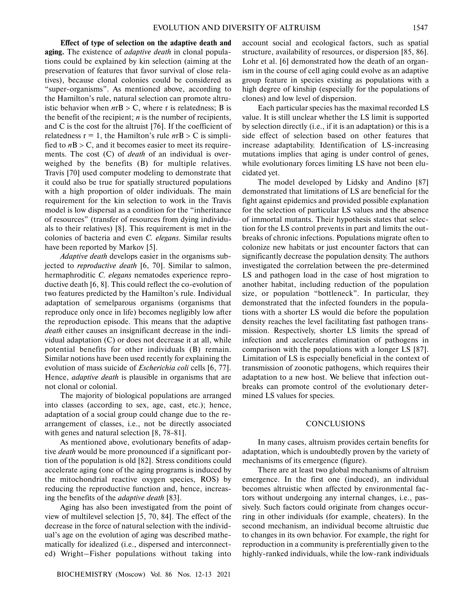**Effect of type of selection on the adaptive death and aging.** The existence of *adaptive death* in clonal popula tions could be explained by kin selection (aiming at the preservation of features that favor survival of close rela tives), because clonal colonies could be considered as "super-organisms". As mentioned above, according to the Hamilton's rule, natural selection can promote altru istic behavior when  $n \text{rB} > \text{C}$ , where r is relatedness; B is the benefit of the recipient; *n* is the number of recipients, and C is the cost for the altruist [76]. If the coefficient of relatedness  $r = 1$ , the Hamilton's rule  $n \cdot B > C$  is simplified to  $nB > C$ , and it becomes easier to meet its requirements. The cost (C) of *death* of an individual is over weighed by the benefits (B) for multiple relatives. Travis [70] used computer modeling to demonstrate that it could also be true for spatially structured populations with a high proportion of older individuals. The main requirement for the kin selection to work in the Travis model is low dispersal as a condition for the "inheritance of resources" (transfer of resources from dying individu als to their relatives) [8]. This requirement is met in the colonies of bacteria and even *C. elegans*. Similar results have been reported by Markov [5].

*Adaptive death* develops easier in the organisms sub jected to *reproductive death* [6, 70]. Similar to salmon, hermaphroditic *C. elegans* nematodes experience repro ductive death [6, 8]. This could reflect the co-evolution of two features predicted by the Hamilton's rule. Individual adaptation of semelparous organisms (organisms that reproduce only once in life) becomes negligibly low after the reproduction episode. This means that the adaptive *death* either causes an insignificant decrease in the indi vidual adaptation (C) or does not decrease it at all, while potential benefits for other individuals (B) remain. Similar notions have been used recently for explaining the evolution of mass suicide of *Escherichia coli* cells [6, 77]. Hence, *adaptive death* is plausible in organisms that are not clonal or colonial.

The majority of biological populations are arranged into classes (according to sex, age, cast, etc.); hence, adaptation of a social group could change due to the re arrangement of classes, i.e., not be directly associated with genes and natural selection [8, 78-81].

As mentioned above, evolutionary benefits of adap tive *death* would be more pronounced if a significant por tion of the population is old [82]. Stress conditions could accelerate aging (one of the aging programs is induced by the mitochondrial reactive oxygen species, ROS) by reducing the reproductive function and, hence, increas ing the benefits of the *adaptive death* [83].

Aging has also been investigated from the point of view of multilevel selection [5, 70, 84]. The effect of the decrease in the force of natural selection with the individ ual's age on the evolution of aging was described mathe matically for idealized (i.e., dispersed and interconnect ed) Wright–Fisher populations without taking into

account social and ecological factors, such as spatial structure, availability of resources, or dispersion [85, 86]. Lohr et al. [6] demonstrated how the death of an organ ism in the course of cell aging could evolve as an adaptive group feature in species existing as populations with a high degree of kinship (especially for the populations of clones) and low level of dispersion.

Each particular species has the maximal recorded LS value. It is still unclear whether the LS limit is supported by selection directly (i.e., if it is an adaptation) or this is a side effect of selection based on other features that increase adaptability. Identification of LS-increasing mutations implies that aging is under control of genes, while evolutionary forces limiting LS have not been elu cidated yet.

The model developed by Lidsky and Andino [87] demonstrated that limitations of LS are beneficial for the fight against epidemics and provided possible explanation for the selection of particular LS values and the absence of immortal mutants. Their hypothesis states that selec tion for the LS control prevents in part and limits the out breaks of chronic infections. Populations migrate often to colonize new habitats or just encounter factors that can significantly decrease the population density. The authors investigated the correlation between the pre-determined LS and pathogen load in the case of host migration to another habitat, including reduction of the population size, or population "bottleneck". In particular, they demonstrated that the infected founders in the popula tions with a shorter LS would die before the population density reaches the level facilitating fast pathogen trans mission. Respectively, shorter LS limits the spread of infection and accelerates elimination of pathogens in comparison with the populations with a longer LS [87]. Limitation of LS is especially beneficial in the context of transmission of zoonotic pathogens, which requires their adaptation to a new host. We believe that infection out breaks can promote control of the evolutionary deter mined LS values for species.

#### **CONCLUSIONS**

In many cases, altruism provides certain benefits for adaptation, which is undoubtedly proven by the variety of mechanisms of its emergence (figure).

There are at least two global mechanisms of altruism emergence. In the first one (induced), an individual becomes altruistic when affected by environmental fac tors without undergoing any internal changes, i.e., pas sively. Such factors could originate from changes occur ring in other individuals (for example, cheaters). In the second mechanism, an individual become altruistic due to changes in its own behavior. For example, the right for reproduction in a community is preferentially given to the highly-ranked individuals, while the low-rank individuals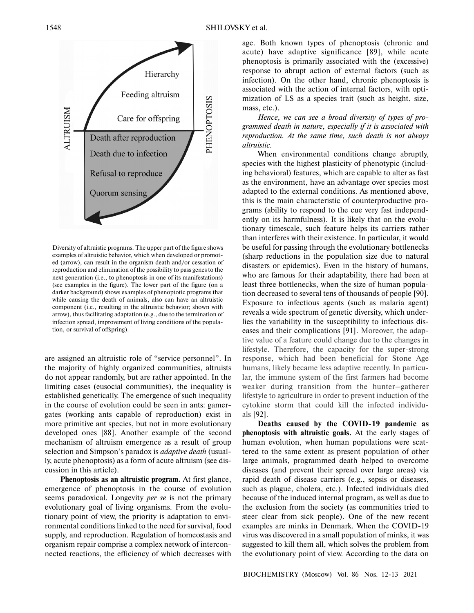

Diversity of altruistic programs. The upper part of the figure shows examples of altruistic behavior, which when developed or promot ed (arrow), can result in the organism death and/or cessation of reproduction and elimination of the possibility to pass genes to the next generation (i.e., to phenoptosis in one of its manifestations) (see examples in the figure). The lower part of the figure (on a darker background) shows examples of phenoptotic programs that while causing the death of animals, also can have an altruistic component (i.e., resulting in the altruistic behavior; shown with arrow), thus facilitating adaptation (e.g., due to the termination of infection spread, improvement of living conditions of the popula tion, or survival of offspring).

are assigned an altruistic role of "service personnel". In the majority of highly organized communities, altruists do not appear randomly, but are rather appointed. In the limiting cases (eusocial communities), the inequality is established genetically. The emergence of such inequality in the course of evolution could be seen in ants: gamer gates (working ants capable of reproduction) exist in more primitive ant species, but not in more evolutionary developed ones [88]. Another example of the second mechanism of altruism emergence as a result of group selection and Simpson's paradox is *adaptive death* (usual ly, acute phenoptosis) as a form of acute altruism (see dis cussion in this article).

**Phenoptosis as an altruistic program.** At first glance, emergence of phenoptosis in the course of evolution seems paradoxical. Longevity *per se* is not the primary evolutionary goal of living organisms. From the evolu tionary point of view, the priority is adaptation to envi ronmental conditions linked to the need for survival, food supply, and reproduction. Regulation of homeostasis and organism repair comprise a complex network of intercon nected reactions, the efficiency of which decreases with

age. Both known types of phenoptosis (chronic and acute) have adaptive significance [89], while acute phenoptosis is primarily associated with the (excessive) response to abrupt action of external factors (such as infection). On the other hand, chronic phenoptosis is associated with the action of internal factors, with opti mization of LS as a species trait (such as height, size, mass, etc.).

*Hence, we can see a broad diversity of types of pro grammed death in nature, especially if it is associated with reproduction. At the same time, such death is not always altruistic.*

When environmental conditions change abruptly, species with the highest plasticity of phenotypic (includ ing behavioral) features, which are capable to alter as fast as the environment, have an advantage over species most adapted to the external conditions. As mentioned above, this is the main characteristic of counterproductive pro grams (ability to respond to the cue very fast independ ently on its harmfulness). It is likely that on the evolu tionary timescale, such feature helps its carriers rather than interferes with their existence. In particular, it would be useful for passing through the evolutionary bottlenecks (sharp reductions in the population size due to natural disasters or epidemics). Even in the history of humans, who are famous for their adaptability, there had been at least three bottlenecks, when the size of human popula tion decreased to several tens of thousands of people [90]. Exposure to infectious agents (such as malaria agent) reveals a wide spectrum of genetic diversity, which under lies the variability in the susceptibility to infectious dis eases and their complications [91]. Moreover, the adap tive value of a feature could change due to the changes in lifestyle. Therefore, the capacity for the super-strong response, which had been beneficial for Stone Age humans, likely became less adaptive recently. In particu lar, the immune system of the first farmers had become weaker during transition from the hunter–gatherer lifestyle to agriculture in order to prevent induction of the cytokine storm that could kill the infected individu als [92].

**Deaths caused by the COVID-19 pandemic as phenoptosis with altruistic goals.** At the early stages of human evolution, when human populations were scat tered to the same extent as present population of other large animals, programmed death helped to overcome diseases (and prevent their spread over large areas) via rapid death of disease carriers (e.g., sepsis or diseases, such as plague, cholera, etc.). Infected individuals died because of the induced internal program, as well as due to the exclusion from the society (as communities tried to steer clear from sick people). One of the new recent examples are minks in Denmark. When the COVID-19 virus was discovered in a small population of minks, it was suggested to kill them all, which solves the problem from the evolutionary point of view. According to the data on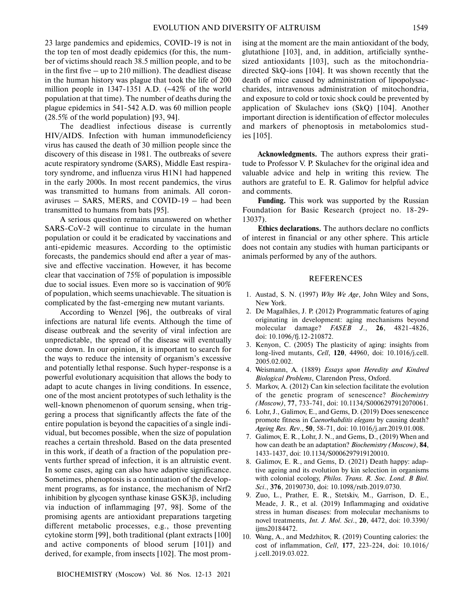23 large pandemics and epidemics, COVID-19 is not in the top ten of most deadly epidemics (for this, the num ber of victims should reach 38.5 million people, and to be in the first five – up to 210 million). The deadliest disease in the human history was plague that took the life of 200 million people in 1347-1351 A.D. (∼42% of the world population at that time). The number of deaths during the plague epidemics in 541-542 A.D. was 60 million people (28.5% of the world population) [93, 94].

The deadliest infectious disease is currently HIV/AIDS. Infection with human immunodeficiency virus has caused the death of 30 million people since the discovery of this disease in 1981. The outbreaks of severe acute respiratory syndrome (SARS), Middle East respira tory syndrome, and influenza virus H1N1 had happened in the early 2000s. In most recent pandemics, the virus was transmitted to humans from animals. All coron aviruses – SARS, MERS, and COVID-19 – had been transmitted to humans from bats [95].

A serious question remains unanswered on whether SARS-CoV-2 will continue to circulate in the human population or could it be eradicated by vaccinations and anti-epidemic measures. According to the optimistic forecasts, the pandemics should end after a year of mas sive and effective vaccination. However, it has become clear that vaccination of 75% of population is impossible due to social issues. Even more so is vaccination of 90% of population, which seems unachievable. The situation is complicated by the fast-emerging new mutant variants.

According to Wenzel [96], the outbreaks of viral infections are natural life events. Although the time of disease outbreak and the severity of viral infection are unpredictable, the spread of the disease will eventually come down. In our opinion, it is important to search for the ways to reduce the intensity of organism's excessive and potentially lethal response. Such hyper-response is a powerful evolutionary acquisition that allows the body to adapt to acute changes in living conditions. In essence, one of the most ancient prototypes of such lethality is the well-known phenomenon of quorum sensing, when trig gering a process that significantly affects the fate of the entire population is beyond the capacities of a single indi vidual, but becomes possible, when the size of population reaches a certain threshold. Based on the data presented in this work, if death of a fraction of the population pre vents further spread of infection, it is an altruistic event. In some cases, aging can also have adaptive significance. Sometimes, phenoptosis is a continuation of the develop ment programs, as for instance, the mechanism of Nrf2 inhibition by glycogen synthase kinase GSK3β, including via induction of inflammaging [97, 98]. Some of the promising agents are antioxidant preparations targeting different metabolic processes, e.g., those preventing cytokine storm [99], both traditional (plant extracts [100] and active components of blood serum [101]) and derived, for example, from insects [102]. The most promising at the moment are the main antioxidant of the body, glutathione [103], and, in addition, artificially synthe sized antioxidants [103], such as the mitochondria directed SkQ-ions [104]. It was shown recently that the death of mice caused by administration of lipopolysac charides, intravenous administration of mitochondria, and exposure to cold or toxic shock could be prevented by application of Skulachev ions (SkQ) [104]. Another important direction is identification of effector molecules and markers of phenoptosis in metabolomics stud ies [105].

**Acknowledgments.** The authors express their grati tude to Professor V. P. Skulachev for the original idea and valuable advice and help in writing this review. The authors are grateful to E. R. Galimov for helpful advice and comments.

**Funding.** This work was supported by the Russian Foundation for Basic Research (project no. 18-29- 13037).

**Ethics declarations.** The authors declare no conflicts of interest in financial or any other sphere. This article does not contain any studies with human participants or animals performed by any of the authors.

#### REFERENCES

- 1. Austad, S. N. (1997) *Why We Age*, John Wiley and Sons, New York.
- 2. De Magalhães, J. P. (2012) Programmatic features of aging originating in development: aging mechanisms beyond molecular damage? *FASEB J*., **26**, 4821-4826, doi: 10.1096/fj.12-210872.
- 3. Kenyon, C. (2005) The plasticity of aging: insights from long-lived mutants, *Cell*, **120**, 44960, doi: 10.1016/j.cell. 2005.02.002.
- 4. Weismann, A. (1889) *Essays upon Heredity and Kindred Biological Problems*, Clarendon Press, Oxford.
- 5. Markov, A. (2012) Can kin selection facilitate the evolution of the genetic program of senescence? *Biochemistry (Moscow)*, **77**, 733-741, doi: 10.1134/S0006297912070061.
- 6. Lohr, J., Galimov, E., and Gems, D. (2019) Does senescence promote fitness in *Caenorhabditis elegans* by causing death? *Ageing Res. Rev*., **50**, 58-71, doi: 10.1016/j.arr.2019.01.008.
- 7. Galimov, E. R., Lohr, J. N., and Gems, D., (2019) When and how can death be an adaptation? *Biochemistry (Moscow)*, **84**, 1433-1437, doi: 10.1134/S0006297919120010.
- 8. Galimov, E. R., and Gems, D. (2021) Death happy: adap tive ageing and its evolution by kin selection in organisms with colonial ecology, *Philos. Trans. R. Soc. Lond. B Biol. Sci*., **376**, 20190730, doi: 10.1098/rstb.2019.0730.
- 9. Zuo, L., Prather, E. R., Stetskiv, M., Garrison, D. E., Meade, J. R., et al. (2019) Inflammaging and oxidative stress in human diseases: from molecular mechanisms to novel treatments, *Int. J. Mol. Sci*., **20**, 4472, doi: 10.3390/ ijms20184472.
- 10. Wang, A., and Medzhitov, R. (2019) Counting calories: the cost of inflammation, *Cell*, **177**, 223-224, doi: 10.1016/ j.cell.2019.03.022.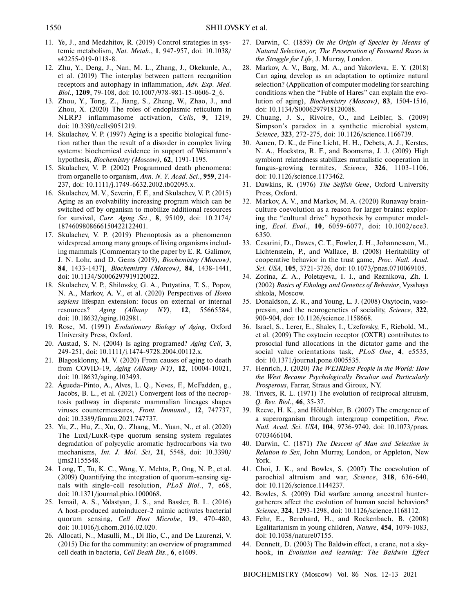- 11. Ye, J., and Medzhitov, R. (2019) Control strategies in sys temic metabolism, *Nat. Metab*., **1**, 947-957, doi: 10.1038/ s42255-019-0118-8.
- 12. Zhu, Y., Deng, J., Nan, M. L., Zhang, J., Okekunle, A., et al. (2019) The interplay between pattern recognition receptors and autophagy in inflammation, *Adv. Exp. Med. Biol*., **1209**, 79-108, doi: 10.1007/978-981-15-0606-2\_6.
- 13. Zhou, Y., Tong, Z., Jiang, S., Zheng, W., Zhao, J., and Zhou, X. (2020) The roles of endoplasmic reticulum in NLRP3 inflammasome activation, *Cells*, **9**, 1219, doi: 10.3390/cells9051219.
- 14. Skulachev, V. P. (1997) Aging is a specific biological func tion rather than the result of a disorder in complex living systems: biochemical evidence in support of Weismann's hypothesis, *Biochemistry (Moscow)*, **62**, 1191-1195.
- 15. Skulachev, V. P. (2002) Programmed death phenomena: from organelle to organism, *Ann. N. Y. Acad. Sci*., **959**, 214- 237, doi: 10.1111/j.1749-6632.2002.tb02095.x.
- 16. Skulachev, M. V., Severin, F. F., and Skulachev, V. P. (2015) Aging as an evolvability increasing program which can be switched off by organism to mobilize additional resources for survival, *Curr. Aging Sci*., **8**, 95109, doi: 10.2174/ 1874609808666150422122401.
- 17. Skulachev, V. P. (2019) Phenoptosis as a phenomenon widespread among many groups of living organisms includ ing mammals [Commentary to the paper by E. R. Galimov, J. N. Lohr, and D. Gems (2019), *Biochemistry (Moscow)*, **84**, 1433-1437], *Biochemistry (Moscow)*, **84**, 1438-1441, doi: 10.1134/S0006297919120022.
- 18. Skulachev, V. P., Shilovsky, G. A., Putyatina, T. S., Popov, N. A., Markov, A. V., et al. (2020) Perspectives of *Homo sapiens* lifespan extension: focus on external or internal resources? *Aging (Albany NY)*, **12**, 55665584, doi: 10.18632/aging.102981.
- 19. Rose, M. (1991) *Evolutionary Biology of Aging*, Oxford University Press, Oxford.
- 20. Austad, S. N. (2004) Is aging programed? *Aging Cell*, **3**, 249-251, doi: 10.1111/j.1474-9728.2004.00112.x.
- 21. Blagosklonny, M. V. (2020) From causes of aging to death from COVID-19, *Aging (Albany NY)*, **12**, 10004-10021, doi: 10.18632/aging.103493.
- 22. Águeda-Pinto, A., Alves, L. Q., Neves, F., McFadden, g., Jacobs, B. L., et al. (2021) Convergent loss of the necrop tosis pathway in disparate mammalian lineages shapes viruses countermeasures, *Front. Immunol*., **12**, 747737, doi: 10.3389/fimmu.2021.747737.
- 23. Yu, Z., Hu, Z., Xu, Q., Zhang, M., Yuan, N., et al. (2020) The LuxI/LuxR-type quorum sensing system regulates degradation of polycyclic aromatic hydrocarbons via two mechanisms, *Int. J. Mol. Sci*, **21**, 5548, doi: 10.3390/ ijms21155548.
- 24. Long, T., Tu, K. C., Wang, Y., Mehta, P., Ong, N. P., et al. (2009) Quantifying the integration of quorum-sensing sig nals with single-cell resolution, *PLoS Biol*., **7**, e68, doi: 10.1371/journal.pbio.1000068.
- 25. Ismail, A. S., Valastyan, J. S., and Bassler, B. L. (2016) A host-produced autoinducer-2 mimic activates bacterial quorum sensing, *Cell Host Microbe*, **19**, 470-480, doi: 10.1016/j.chom.2016.02.020.
- 26. Allocati, N., Masulli, M., Di Ilio, C., and De Laurenzi, V. (2015) Die for the community: an overview of programmed cell death in bacteria, *Cell Death Dis*., **6**, e1609.
- 27. Darwin, C. (1859) *On the Origin of Species by Means of Natural Selection, or, The Preservation of Favoured Races in the Struggle for Life*, J. Murray, London.
- 28. Markov, A. V., Barg, M. A., and Yakovleva, E. Y. (2018) Can aging develop as an adaptation to optimize natural selection? (Application of computer modeling for searching conditions when the "Fable of Hares" can explain the evo lution of aging), *Biochemistry (Moscow)*, **83**, 1504-1516, doi: 10.1134/S0006297918120088.
- 29. Chuang, J. S., Rivoire, O., and Leibler, S. (2009) Simpson's paradox in a synthetic microbial system, *Science*, **323**, 272-275, doi: 10.1126/science.1166739.
- 30. Aanen, D. K., de Fine Licht, H. H., Debets, A. J., Kerstes, N. A., Hoekstra, R. F., and Boomsma, J. J. (2009) High symbiont relatedness stabilizes mutualistic cooperation in fungus-growing termites, *Science,* **326**, 1103-1106, doi: 10.1126/science.1173462.
- 31. Dawkins, R. (1976) *The Selfish Gene*, Oxford University Press, Oxford.
- 32. Markov, A. V., and Markov, M. A. (2020) Runaway brain culture coevolution as a reason for larger brains: explor ing the "cultural drive" hypothesis by computer model ing, *Ecol. Evol*., **10**, 6059-6077, doi: 10.1002/ece3. 6350.
- 33. Cesarini, D., Dawes, C. T., Fowler, J. H., Johannesson, M., Lichtenstein, P., and Wallace, B. (2008) Heritability of cooperative behavior in the trust game, *Proc. Natl. Acad. Sci. USA*, **105**, 3721-3726, doi: 10.1073/pnas.0710069105.
- 34. Zorina, Z. A., Poletayeva, I. I., and Reznikova, Zh. I. (2002) *Basics of Ethology and Genetics of Behavior*, Vysshaya shkola, Moscow.
- 35. Donaldson, Z. R., and Young, L. J. (2008) Oxytocin, vaso pressin, and the neurogenetics of sociality, *Science*, **322**, 900-904, doi: 10.1126/science.1158668.
- 36. Israel, S., Lerer, E., Shalev, I., Uzefovsky, F., Riebold, M., et al. (2009) The oxytocin receptor (OXTR) contributes to prosocial fund allocations in the dictator game and the social value orientations task, *PLoS One*, **4**, e5535, doi: 10.1371/journal.pone.0005535.
- 37. Henrich, J. (2020) *The WEIRDest People in the World: How the West Became Psychologically Peculiar and Particularly Prosperous*, Farrar, Straus and Giroux, NY.
- 38. Trivers, R. L. (1971) The evolution of reciprocal altruism, *Q. Rev. Biol*., **46**, 35-37.
- 39. Reeve, H. K., and Hölldobler, B. (2007) The emergence of a superorganism through intergroup competition, *Proc. Natl. Acad. Sci. USA*, **104**, 9736-9740, doi: 10.1073/pnas. 0703466104.
- 40. Darwin, C. (1871) *The Descent of Man and Selection in Relation to Sex*, John Murray, London, or Appleton, New York.
- 41. Choi, J. K., and Bowles, S. (2007) The coevolution of parochial altruism and war, *Science*, **318**, 636-640, doi: 10.1126/science.1144237.
- 42. Bowles, S. (2009) Did warfare among ancestral hunter gatherers affect the evolution of human social behaviors? *Science*, **324**, 1293-1298, doi: 10.1126/science.1168112.
- 43. Fehr, E., Bernhard, H., and Rockenbach, B. (2008) Egalitarianism in young children, *Nature*, **454**, 1079-1083, doi: 10.1038/nature07155.
- 44. Dennett, D. (2003) The Baldwin effect, a crane, not a sky hook, in *Evolution and learning: The Baldwin Effect*

BIOCHEMISTRY (Moscow) Vol. 86 Nos. 12-13 2021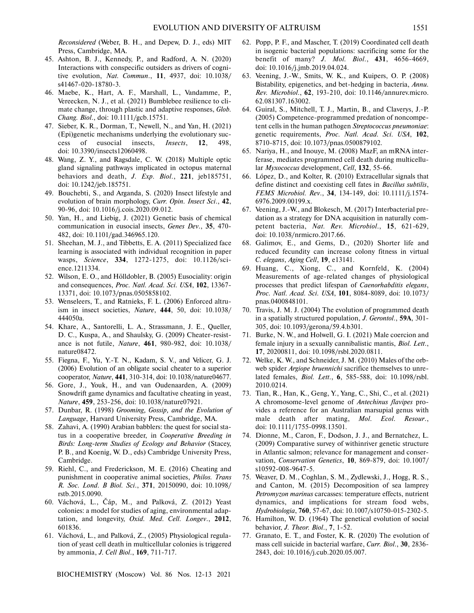*Reconsidered* (Weber, B. H., and Depew, D. J., eds) MIT Press, Cambridge, MA.

- 45. Ashton, B. J., Kennedy, P., and Radford, A. N. (2020) Interactions with conspecific outsiders as drivers of cogni tive evolution, *Nat. Commun*., **11**, 4937, doi: 10.1038/ s41467-020-18780-3.
- 46. Maebe, K., Hart, A. F., Marshall, L., Vandamme, P., Vereecken, N. J., et al. (2021) Bumblebee resilience to cli mate change, through plastic and adaptive responses, *Glob. Chang. Biol*., doi: 10.1111/gcb.15751.
- 47. Sieber, K. R., Dorman, T., Newell, N., and Yan, H. (2021) (Epi)genetic mechanisms underlying the evolutionary suc cess of eusocial insects, *Insects*, **12**, 498, doi: 10.3390/insects12060498.
- 48. Wang, Z. Y., and Ragsdale, C. W. (2018) Multiple optic gland signaling pathways implicated in octopus maternal behaviors and death, *J. Exp. Biol*., **221**, jeb185751, doi: 10.1242/jeb.185751.
- 49. Bouchebti, S., and Arganda, S. (2020) Insect lifestyle and evolution of brain morphology, *Curr. Opin. Insect Sci*., **42**, 90-96, doi: 10.1016/j.cois.2020.09.012.
- 50. Yan, H., and Liebig, J. (2021) Genetic basis of chemical communication in eusocial insects, *Genes Dev*., **35**, 470- 482, doi: 10.1101/gad.346965.120.
- 51. Sheehan, M. J., and Tibbetts, E. A. (2011) Specialized face learning is associated with individual recognition in paper wasps, *Science*, **334**, 1272-1275, doi: 10.1126/sci ence.1211334.
- 52. Wilson, E. O., and Hölldobler, B. (2005) Eusociality: origin and consequences, *Proc. Natl. Acad. Sci. USA*, **102**, 13367- 13371, doi: 10.1073/pnas.0505858102.
- 53. Wenseleers, T., and Ratnieks, F. L. (2006) Enforced altru ism in insect societies, *Nature*, **444**, 50, doi: 10.1038/ 444050a.
- 54. Khare, A., Santorelli, L. A., Strassmann, J. E., Queller, D. C., Kuspa, A., and Shaulsky, G. (2009) Cheater-resist ance is not futile, *Nature*, **461**, 980-982, doi: 10.1038/ nature08472.
- 55. Fiegna, F., Yu, Y.-T. N., Kadam, S. V., and Velicer, G. J. (2006) Evolution of an obligate social cheater to a superior cooperator, *Nature*, **441**, 310-314, doi: 10.1038/nature04677.
- 56. Gore, J., Youk, H., and van Oudenaarden, A. (2009) Snowdrift game dynamics and facultative cheating in yeast, *Nature*, **459**, 253-256, doi: 10.1038/nature07921.
- 57. Dunbar, R. (1998) *Grooming, Gossip, and the Evolution of Language*, Harvard University Press, Cambridge, MA.
- 58. Zahavi, A. (1990) Arabian babblers: the quest for social sta tus in a cooperative breeder, in *Cooperative Breeding in Birds: Long-term Studies of Ecology and Behavior* (Stacey, P. B., and Koenig, W. D., eds) Cambridge University Press, Cambridge.
- 59. Riehl, C., and Frederickson, M. E. (2016) Cheating and punishment in cooperative animal societies, *Philos. Trans R. Soc. Lond. B Biol. Sci*., **371**, 20150090, doi: 10.1098/ rstb.2015.0090.
- 60. Váchová, L., Čáp, M., and Palková, Z. (2012) Yeast colonies: a model for studies of aging, environmental adap tation, and longevity, *Oxid. Med. Cell. Longev*., **2012**, 601836.
- 61. Váchová, L., and Palková, Z., (2005) Physiological regula tion of yeast cell death in multicellular colonies is triggered by ammonia, *J. Cell Biol*., **169**, 711-717.

BIOCHEMISTRY (Moscow) Vol. 86 Nos. 12-13 2021

- 62. Popp, P. F., and Mascher, T. (2019) Coordinated cell death in isogenic bacterial populations: sacrificing some for the benefit of many? *J. Mol. Biol*., **431**, 4656-4669, doi: 10.1016/j.jmb.2019.04.024.
- 63. Veening, J.-W., Smits, W. K., and Kuipers, O. P. (2008) Bistability, epigenetics, and bet-hedging in bacteria, *Annu. Rev. Microbiol*., **62**, 193-210, doi: 10.1146/annurev.micro. 62.081307.163002.
- 64. Guiral, S., Mitchell, T. J., Martin, B., and Claverys, J.-P. (2005) Competence-programmed predation of noncompe tent cells in the human pathogen *Streptococcus pneumoniae*: genetic requirements, *Proc. Natl. Acad. Sci. USA*, **102**, 8710-8715, doi: 10.1073/pnas.0500879102.
- 65. Nariya, H., and Inouye, M. (2008) MazF, an mRNA inter ferase, mediates programmed cell death during multicellu lar *Myxococcus* development, *Cell*, **132**, 55-66.
- 66. López, D., and Kolter, R. (2010) Extracellular signals that define distinct and coexisting cell fates in *Bacillus subtilis*, *FEMS Microbiol. Rev*., **34**, 134-149, doi: 10.1111/j.1574- 6976.2009.00199.x.
- 67. Veening, J.-W., and Blokesch, M. (2017) Interbacterial pre dation as a strategy for DNA acquisition in naturally com petent bacteria, *Nat. Rev. Microbiol*., **15**, 621-629, doi: 10.1038/nrmicro.2017.66.
- 68. Galimov, E., and Gems, D., (2020) Shorter life and reduced fecundity can increase colony fitness in virtual *C. elegans*, *Aging Cell*, **19**, e13141.
- 69. Huang, C., Xiong, C., and Kornfeld, K. (2004) Measurements of age-related changes of physiological processes that predict lifespan of *Caenorhabditis elegans*, *Proc. Natl. Acad. Sci. USA*, **101**, 8084-8089, doi: 10.1073/ pnas.0400848101.
- 70. Travis, J. M. J. (2004) The evolution of programmed death in a spatially structured population, *J. Gerontol*., **59A**, 301- 305, doi: 10.1093/gerona/59.4.b301.
- 71. Burke, N. W., and Holwell, G. I. (2021) Male coercion and female injury in a sexually cannibalistic mantis, *Biol. Lett*., **17**, 20200811, doi: 10.1098/rsbl.2020.0811.
- 72. Welke, K. W., and Schneider, J. M. (2010) Males of the orb web spider *Argiope bruennichi* sacrifice themselves to unre lated females, *Biol. Lett*., **6**, 585-588, doi: 10.1098/rsbl. 2010.0214.
- 73. Tian, R., Han, K., Geng, Y., Yang, C., Shi, C., et al. (2021) A chromosome-level genome of *Antechinus flavipes* pro vides a reference for an Australian marsupial genus with male death after mating, *Mol. Ecol. Resour*., doi: 10.1111/1755-0998.13501.
- 74. Dionne, M., Caron, F., Dodson, J. J., and Bernatchez, L. (2009) Comparative survey of withinriver genetic structure in Atlantic salmon; relevance for management and conser vation, *Conservation Genetics*, **10**, 869-879, doi: 10.1007/ s10592-008-9647-5.
- 75. Weaver, D. M., Coghlan, S. M., Zydlewski, J., Hogg, R. S., and Canton, M. (2015) Decomposition of sea lamprey *Petromyzon marinus* carcasses: temperature effects, nutrient dynamics, and implications for stream food webs, *Hydrobiologia*, **760**, 57-67, doi: 10.1007/s10750-015-2302-5.
- 76. Hamilton, W. D. (1964) The genetical evolution of social behavior, *J. Theor. Biol*., **7**, 1-52.
- 77. Granato, E. T., and Foster, K. R. (2020) The evolution of mass cell suicide in bacterial warfare, *Curr. Biol*., **30**, 2836- 2843, doi: 10.1016/j.cub.2020.05.007.